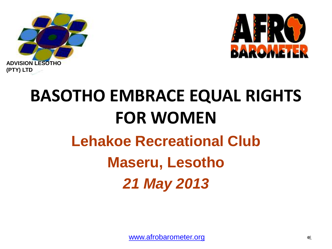



# **BASOTHO EMBRACE EQUAL RIGHTS FOR WOMEN Lehakoe Recreational Club Maseru, Lesotho** *21 May 2013*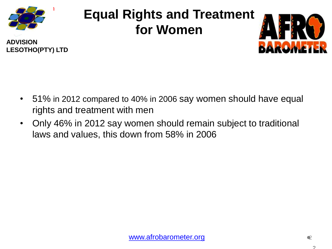

## **Equal Rights and Treatment for Women**





- 51% in 2012 compared to 40% in 2006 say women should have equal rights and treatment with men
- Only 46% in 2012 say women should remain subject to traditional laws and values, this down from 58% in 2006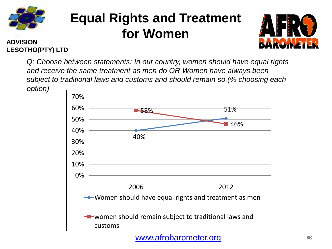

## **Equal Rights and Treatment for Women**



#### **ADVISION LESOTHO(PTY) LTD**

*Q: Choose between statements: In our country, women should have equal rights and receive the same treatment as men do OR Women have always been subject to traditional laws and customs and should remain so.(% choosing each option)*



[www.afrobarometer.org](http://www.afrobarometer.org/)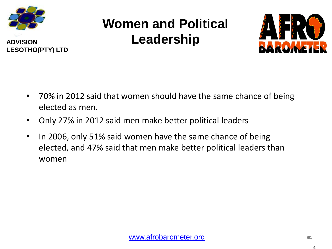

**LESOTHO(PTY) LTD**

## **Women and Political Leadership**



- 70% in 2012 said that women should have the same chance of being elected as men.
- Only 27% in 2012 said men make better political leaders
- In 2006, only 51% said women have the same chance of being elected, and 47% said that men make better political leaders than women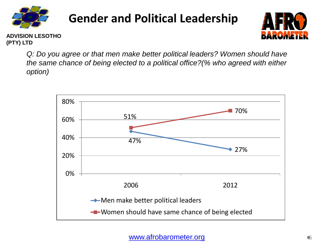

#### **Gender and Political Leadership**



**ADVISION LESOTHO (PTY) LTD**

> *Q: Do you agree or that men make better political leaders? Women should have the same chance of being elected to a political office?(% who agreed with either option)*

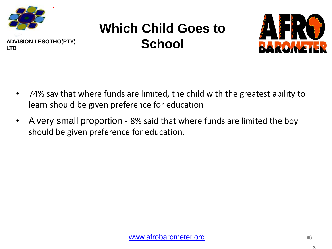

## **Which Child Goes to School**



- 74% say that where funds are limited, the child with the greatest ability to learn should be given preference for education
- A very small proportion 8% said that where funds are limited the boy should be given preference for education.

6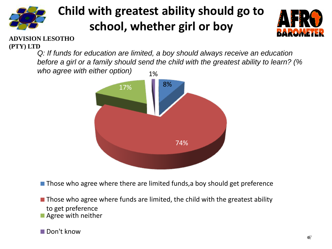

#### **Child with greatest ability should go to school, whether girl or boy**



#### **ADVISION LESOTHO (PTY) LTD**

*Q: If funds for education are limited, a boy should always receive an education before a girl or a family should send the child with the greatest ability to learn? (% who agree with either option)* 1%



 $\blacksquare$  Those who agree where there are limited funds, a boy should get preference

 $\blacksquare$  Those who agree where funds are limited, the child with the greatest ability to get preference ■ Agree with neither

**■Don't know**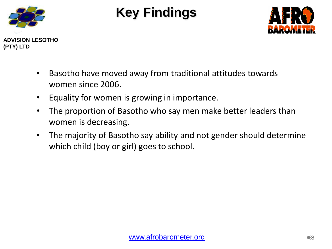

#### **Key Findings**



- Basotho have moved away from traditional attitudes towards women since 2006.
- Equality for women is growing in importance.
- The proportion of Basotho who say men make better leaders than women is decreasing.
- The majority of Basotho say ability and not gender should determine which child (boy or girl) goes to school.